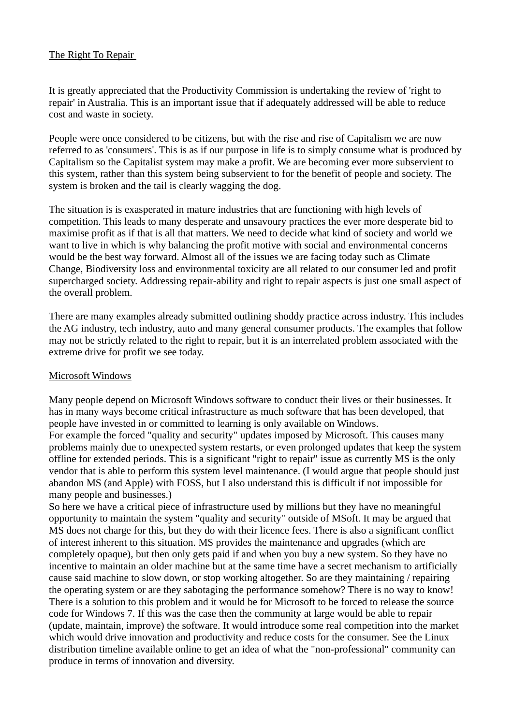# The Right To Repair

It is greatly appreciated that the Productivity Commission is undertaking the review of 'right to repair' in Australia. This is an important issue that if adequately addressed will be able to reduce cost and waste in society.

People were once considered to be citizens, but with the rise and rise of Capitalism we are now referred to as 'consumers'. This is as if our purpose in life is to simply consume what is produced by Capitalism so the Capitalist system may make a profit. We are becoming ever more subservient to this system, rather than this system being subservient to for the benefit of people and society. The system is broken and the tail is clearly wagging the dog.

The situation is is exasperated in mature industries that are functioning with high levels of competition. This leads to many desperate and unsavoury practices the ever more desperate bid to maximise profit as if that is all that matters. We need to decide what kind of society and world we want to live in which is why balancing the profit motive with social and environmental concerns would be the best way forward. Almost all of the issues we are facing today such as Climate Change, Biodiversity loss and environmental toxicity are all related to our consumer led and profit supercharged society. Addressing repair-ability and right to repair aspects is just one small aspect of the overall problem.

There are many examples already submitted outlining shoddy practice across industry. This includes the AG industry, tech industry, auto and many general consumer products. The examples that follow may not be strictly related to the right to repair, but it is an interrelated problem associated with the extreme drive for profit we see today.

## Microsoft Windows

Many people depend on Microsoft Windows software to conduct their lives or their businesses. It has in many ways become critical infrastructure as much software that has been developed, that people have invested in or committed to learning is only available on Windows.

For example the forced "quality and security" updates imposed by Microsoft. This causes many problems mainly due to unexpected system restarts, or even prolonged updates that keep the system offline for extended periods. This is a significant "right to repair" issue as currently MS is the only vendor that is able to perform this system level maintenance. (I would argue that people should just abandon MS (and Apple) with FOSS, but I also understand this is difficult if not impossible for many people and businesses.)

So here we have a critical piece of infrastructure used by millions but they have no meaningful opportunity to maintain the system "quality and security" outside of MSoft. It may be argued that MS does not charge for this, but they do with their licence fees. There is also a significant conflict of interest inherent to this situation. MS provides the maintenance and upgrades (which are completely opaque), but then only gets paid if and when you buy a new system. So they have no incentive to maintain an older machine but at the same time have a secret mechanism to artificially cause said machine to slow down, or stop working altogether. So are they maintaining / repairing the operating system or are they sabotaging the performance somehow? There is no way to know! There is a solution to this problem and it would be for Microsoft to be forced to release the source code for Windows 7. If this was the case then the community at large would be able to repair (update, maintain, improve) the software. It would introduce some real competition into the market which would drive innovation and productivity and reduce costs for the consumer. See the Linux distribution timeline available online to get an idea of what the "non-professional" community can produce in terms of innovation and diversity.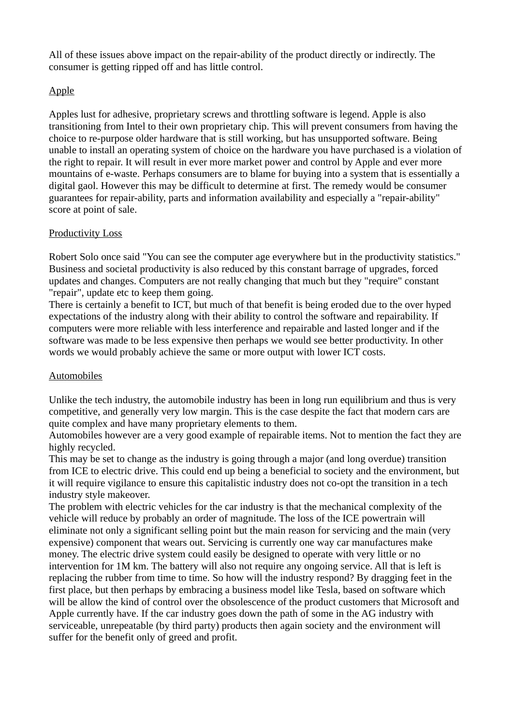All of these issues above impact on the repair-ability of the product directly or indirectly. The consumer is getting ripped off and has little control.

# Apple

Apples lust for adhesive, proprietary screws and throttling software is legend. Apple is also transitioning from Intel to their own proprietary chip. This will prevent consumers from having the choice to re-purpose older hardware that is still working, but has unsupported software. Being unable to install an operating system of choice on the hardware you have purchased is a violation of the right to repair. It will result in ever more market power and control by Apple and ever more mountains of e-waste. Perhaps consumers are to blame for buying into a system that is essentially a digital gaol. However this may be difficult to determine at first. The remedy would be consumer guarantees for repair-ability, parts and information availability and especially a "repair-ability" score at point of sale.

## Productivity Loss

Robert Solo once said "You can see the computer age everywhere but in the productivity statistics." Business and societal productivity is also reduced by this constant barrage of upgrades, forced updates and changes. Computers are not really changing that much but they "require" constant "repair", update etc to keep them going.

There is certainly a benefit to ICT, but much of that benefit is being eroded due to the over hyped expectations of the industry along with their ability to control the software and repairability. If computers were more reliable with less interference and repairable and lasted longer and if the software was made to be less expensive then perhaps we would see better productivity. In other words we would probably achieve the same or more output with lower ICT costs.

## Automobiles

Unlike the tech industry, the automobile industry has been in long run equilibrium and thus is very competitive, and generally very low margin. This is the case despite the fact that modern cars are quite complex and have many proprietary elements to them.

Automobiles however are a very good example of repairable items. Not to mention the fact they are highly recycled.

This may be set to change as the industry is going through a major (and long overdue) transition from ICE to electric drive. This could end up being a beneficial to society and the environment, but it will require vigilance to ensure this capitalistic industry does not co-opt the transition in a tech industry style makeover.

The problem with electric vehicles for the car industry is that the mechanical complexity of the vehicle will reduce by probably an order of magnitude. The loss of the ICE powertrain will eliminate not only a significant selling point but the main reason for servicing and the main (very expensive) component that wears out. Servicing is currently one way car manufactures make money. The electric drive system could easily be designed to operate with very little or no intervention for 1M km. The battery will also not require any ongoing service. All that is left is replacing the rubber from time to time. So how will the industry respond? By dragging feet in the first place, but then perhaps by embracing a business model like Tesla, based on software which will be allow the kind of control over the obsolescence of the product customers that Microsoft and Apple currently have. If the car industry goes down the path of some in the AG industry with serviceable, unrepeatable (by third party) products then again society and the environment will suffer for the benefit only of greed and profit.